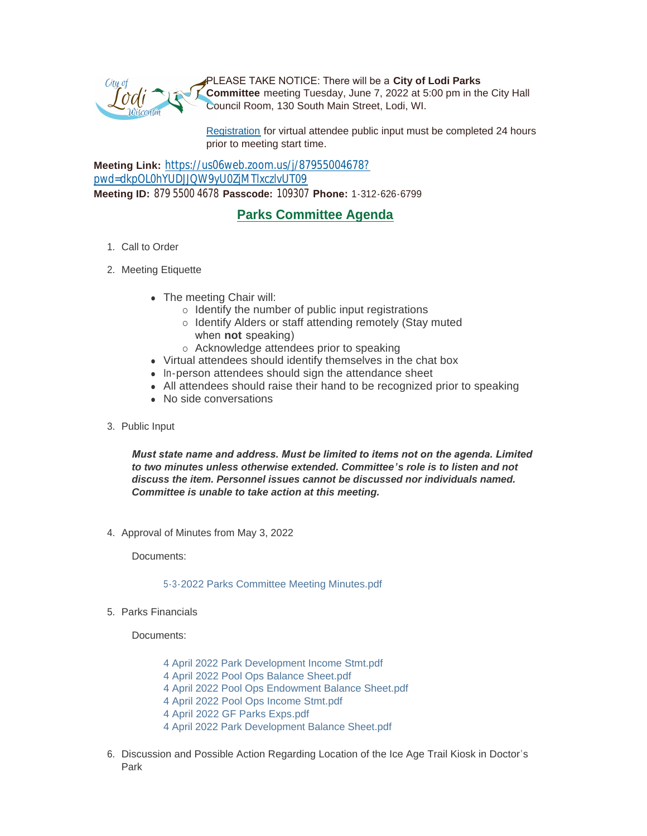

PLEASE TAKE NOTICE: There will be a **City of Lodi Parks Committee** meeting Tuesday, June 7, 2022 at 5:00 pm in the City Hall Council Room, 130 South Main Street, Lodi, WI.

[Registration](https://www.cityoflodi.us/CivicAlerts.aspx?AID=467) for virtual attendee public input must be completed 24 hours prior to meeting start time.

**Meeting Link:** [https://us06web.zoom.us/j/87955004678?](https://us06web.zoom.us/j/87955004678?pwd=dkpOL0hYUDJJQW9yU0ZjMTlxczlvUT09) pwd=dkpOL0hYUDJJQW9yU0ZjMTlxczlvUT09 **Meeting ID:** 879 5500 4678 **Passcode:** 109307 **Phone:** 1-312-626-6799

## **Parks Committee Agenda**

- 1. Call to Order
- 2. Meeting Etiquette
	- The meeting Chair will:
		- $\circ$  Identify the number of public input registrations
		- o Identify Alders or staff attending remotely (Stay muted when **not** speaking)
		- o Acknowledge attendees prior to speaking
	- Virtual attendees should identify themselves in the chat box
	- In-person attendees should sign the attendance sheet
	- All attendees should raise their hand to be recognized prior to speaking
	- No side conversations
- 3. Public Input

*Must state name and address. Must be limited to items not on the agenda. Limited to two minutes unless otherwise extended. Committee's role is to listen and not discuss the item. Personnel issues cannot be discussed nor individuals named. Committee is unable to take action at this meeting.*

4. Approval of Minutes from May 3, 2022

Documents:

## [5-3-2022 Parks Committee Meeting Minutes.pdf](http://www.cityoflodi.us/AgendaCenter/ViewFile/Item/15142?fileID=12041)

5. Parks Financials

Documents:

- [4 April 2022 Park Development Income Stmt.pdf](http://www.cityoflodi.us/AgendaCenter/ViewFile/Item/15139?fileID=12054)
- [4 April 2022 Pool Ops Balance Sheet.pdf](http://www.cityoflodi.us/AgendaCenter/ViewFile/Item/15139?fileID=12055)
- [4 April 2022 Pool Ops Endowment Balance Sheet.pdf](http://www.cityoflodi.us/AgendaCenter/ViewFile/Item/15139?fileID=12056)
- [4 April 2022 Pool Ops Income Stmt.pdf](http://www.cityoflodi.us/AgendaCenter/ViewFile/Item/15139?fileID=12057)
- [4 April 2022 GF Parks Exps.pdf](http://www.cityoflodi.us/AgendaCenter/ViewFile/Item/15139?fileID=12058)
- [4 April 2022 Park Development Balance Sheet.pdf](http://www.cityoflodi.us/AgendaCenter/ViewFile/Item/15139?fileID=12059)
- 6. Discussion and Possible Action Regarding Location of the Ice Age Trail Kiosk in Doctor's Park